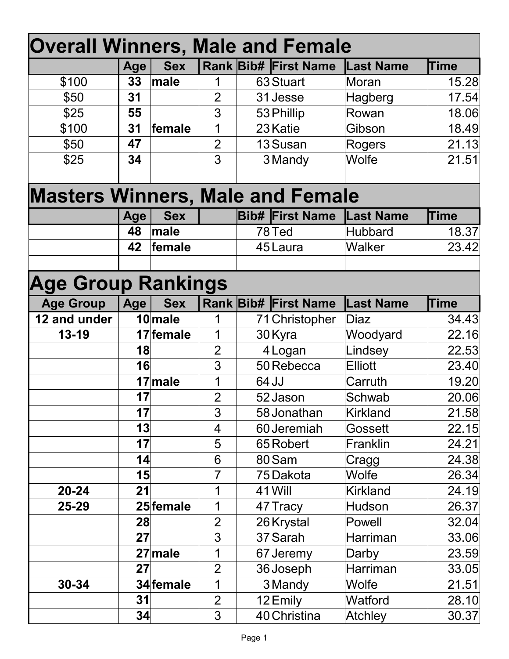| <b>Overall Winners, Male and Female</b> |            |            |                |  |                             |                  |             |  |  |
|-----------------------------------------|------------|------------|----------------|--|-----------------------------|------------------|-------------|--|--|
|                                         | <b>Age</b> | <b>Sex</b> |                |  | <b>Rank Bib# First Name</b> | <b>Last Name</b> | <b>Time</b> |  |  |
| \$100                                   | 33         | male       | 1              |  | 63 Stuart                   | Moran            | 15.28       |  |  |
| \$50                                    | 31         |            | $\overline{2}$ |  | 31Jesse                     | Hagberg          | 17.54       |  |  |
| \$25                                    | 55         |            | 3              |  | 53 Phillip                  | Rowan            | 18.06       |  |  |
| \$100                                   | 31         | female     | 1              |  | 23 Katie                    | Gibson           | 18.49       |  |  |
| \$50                                    | 47         |            | $\overline{2}$ |  | 13Susan                     | Rogers           | 21.13       |  |  |
| \$25                                    | 34         |            | 3              |  | 3Mandy                      | <b>Wolfe</b>     | 21.51       |  |  |
|                                         |            |            |                |  |                             |                  |             |  |  |
| <b>Masters Winners, Male and Female</b> |            |            |                |  |                             |                  |             |  |  |
|                                         | <b>Age</b> | <b>Sex</b> |                |  | <b>Bib# First Name</b>      | <b>Last Name</b> | <b>Time</b> |  |  |
|                                         | 48         | male       |                |  | 78 <sub>Ted</sub>           | Hubbard          | 18.37       |  |  |
|                                         | 42         | female     |                |  | 45Laura                     | <b>Walker</b>    | 23.42       |  |  |
|                                         |            |            |                |  |                             |                  |             |  |  |
| <b>Age Group Rankings</b>               |            |            |                |  |                             |                  |             |  |  |
| <b>Age Group</b>                        | Age        | <b>Sex</b> |                |  | <b>Rank Bib# First Name</b> | <b>Last Name</b> | <b>Time</b> |  |  |
| 12 and under                            |            | 10 male    | 1              |  | 71 Christopher              | <b>Diaz</b>      | 34.43       |  |  |
| 13-19                                   |            | 17 female  | 1              |  | 30 Kyra                     | Woodyard         | 22.16       |  |  |
|                                         | 18         |            | $\overline{2}$ |  | 4Logan                      | Lindsey          | 22.53       |  |  |
|                                         | 16         |            | 3              |  | 50 Rebecca                  | <b>Elliott</b>   | 23.40       |  |  |
|                                         |            | 17 male    | 1              |  | $64$ JJ                     | Carruth          | 19.20       |  |  |
|                                         | 17         |            | $\overline{2}$ |  | 52 Jason                    | Schwab           | 20.06       |  |  |
|                                         | 17         |            | 3              |  | 58 Jonathan                 | <b>Kirkland</b>  | 21.58       |  |  |
|                                         | 3          |            | 4              |  | 60Jeremiah                  | Gossett          | 22.15       |  |  |
|                                         | 17         |            | 5              |  | 65 Robert                   | Franklin         | 24.21       |  |  |
|                                         | 4          |            | 6              |  | 80 Sam                      | Cragg            | 24.38       |  |  |
|                                         | 15         |            | $\overline{7}$ |  | 75Dakota                    | <b>Wolfe</b>     | 26.34       |  |  |
| $20 - 24$                               | 21         |            | 1              |  | $41$ Will                   | <b>Kirkland</b>  | 24.19       |  |  |
| 25-29                                   |            | 25 female  | 1              |  | 47 Tracy                    | Hudson           | 26.37       |  |  |
|                                         | 28         |            | $\overline{2}$ |  | 26 Krystal                  | Powell           | 32.04       |  |  |
|                                         | 27         |            | 3              |  | 37 Sarah                    | Harriman         | 33.06       |  |  |
|                                         |            | $27$ male  | 1              |  | 67Jeremy                    | Darby            | 23.59       |  |  |
|                                         | 27         |            | $\overline{2}$ |  | 36Joseph                    | Harriman         | 33.05       |  |  |
| $30 - 34$                               |            | 34 female  | 1              |  | 3Mandy                      | Wolfe            | 21.51       |  |  |
|                                         | 31         |            | $\overline{2}$ |  | 12Emily                     | Watford          | 28.10       |  |  |
|                                         | 34         |            | 3              |  | 40 Christina                | <b>Atchley</b>   | 30.37       |  |  |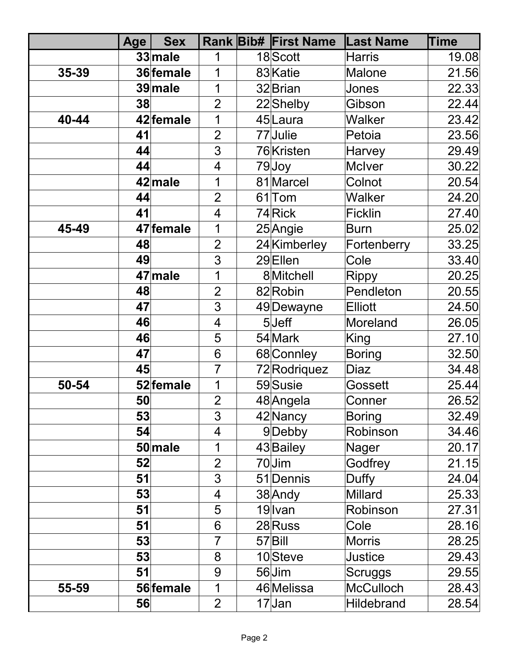|       | <b>Age</b> | <b>Sex</b> |                | <b>Rank Bib# First Name</b> | <b>Last Name</b>  | <b>Time</b> |
|-------|------------|------------|----------------|-----------------------------|-------------------|-------------|
|       |            | 33 male    | 1              | 18Scott                     | <b>Harris</b>     | 19.08       |
| 35-39 |            | 36 female  | 1              | 83 Katie                    | Malone            | 21.56       |
|       |            | 39 male    | 1              | 32 Brian                    | Jones             | 22.33       |
|       | 38         |            | $\overline{2}$ | 22 Shelby                   | Gibson            | 22.44       |
| 40-44 |            | 42 female  | 1              | 45Laura                     | <b>Walker</b>     | 23.42       |
|       | 41         |            | $\overline{2}$ | 77Julie                     | Petoia            | 23.56       |
|       | 44         |            | 3              | 76Kristen                   | Harvey            | 29.49       |
|       | 44         |            | 4              | 79Joy                       | <b>McIver</b>     | 30.22       |
|       |            | 42 male    | 1              | 81 Marcel                   | Colnot            | 20.54       |
|       | 44         |            | $\overline{2}$ | 61 <sub>Tom</sub>           | <b>Walker</b>     | 24.20       |
|       | 41         |            | 4              | 74Rick                      | <b>Ficklin</b>    | 27.40       |
| 45-49 |            | 47 female  | 1              | 25 Angie                    | <b>Burn</b>       | 25.02       |
|       | 48         |            | $\overline{2}$ | 24 Kimberley                | Fortenberry       | 33.25       |
|       | 49         |            | 3              | 29Ellen                     | Cole              | 33.40       |
|       |            | 47 male    | 1              | 8Mitchell                   | <b>Rippy</b>      | 20.25       |
|       | 48         |            | $\overline{2}$ | 82 Robin                    | Pendleton         | 20.55       |
|       | 47         |            | 3              | 49 Dewayne                  | <b>Elliott</b>    | 24.50       |
|       | 46         |            | $\overline{4}$ | $5$ Jeff                    | Moreland          | 26.05       |
|       | 46         |            | 5              | 54 Mark                     | King              | 27.10       |
|       | 47         |            | 6              | 68 Connley                  | <b>Boring</b>     | 32.50       |
|       | 45         |            | $\overline{7}$ | 72 Rodriquez                | Diaz              | 34.48       |
| 50-54 |            | 52 female  | 1              | 59 Susie                    | Gossett           | 25.44       |
|       | 50         |            | $\overline{2}$ | 48 Angela                   | Conner            | 26.52       |
|       | 53         |            | 3              | 42 Nancy                    | <b>Boring</b>     | 32.49       |
|       | 54         |            | $\overline{4}$ | 9Debby                      | Robinson          | 34.46       |
|       |            | $50$ male  | 1              | 43 Bailey                   | Nager             | 20.17       |
|       | 52         |            | $\overline{2}$ | $70$ Jim                    | Godfrey           | 21.15       |
|       | 51         |            | 3              | 51 Dennis                   | Duffy             | 24.04       |
|       | 53         |            | 4              | 38 Andy                     | <b>Millard</b>    | 25.33       |
|       | 51         |            | 5              | $19$ Ivan                   | Robinson          | 27.31       |
|       | 51         |            | 6              | 28Russ                      | Cole              | 28.16       |
|       | 53         |            | 7              | 57Bill                      | <b>Morris</b>     | 28.25       |
|       | 53         |            | 8              | 10Steve                     | Justice           | 29.43       |
|       | 51         |            | 9              | 56Jim                       | Scruggs           | 29.55       |
| 55-59 |            | 56 female  | 1              | 46 Melissa                  | <b>McCulloch</b>  | 28.43       |
|       | 56         |            | $\overline{2}$ | $17$ Jan                    | <b>Hildebrand</b> | 28.54       |